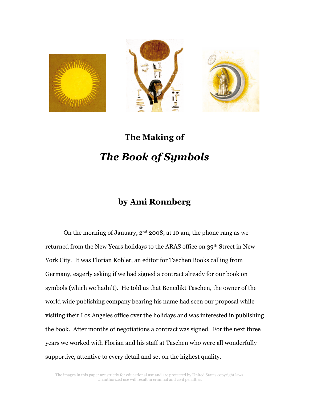





## The Making of The Book of Symbols

## by Ami Ronnberg

On the morning of January, 2nd 2008, at 10 am, the phone rang as we returned from the New Years holidays to the ARAS office on 39th Street in New York City. It was Florian Kobler, an editor for Taschen Books calling from Germany, eagerly asking if we had signed a contract already for our book on symbols (which we hadn't). He told us that Benedikt Taschen, the owner of the world wide publishing company bearing his name had seen our proposal while visiting their Los Angeles office over the holidays and was interested in publishing the book. After months of negotiations a contract was signed. For the next three years we worked with Florian and his staff at Taschen who were all wonderfully supportive, attentive to every detail and set on the highest quality.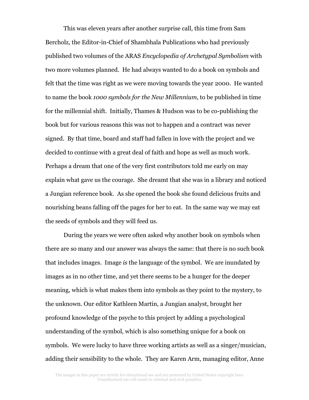This was eleven years after another surprise call, this time from Sam Bercholz, the Editor-in-Chief of Shambhala Publications who had previously published two volumes of the ARAS Encyclopedia of Archetypal Symbolism with two more volumes planned. He had always wanted to do a book on symbols and felt that the time was right as we were moving towards the year 2000. He wanted to name the book 1000 symbols for the New Millennium, to be published in time for the millennial shift. Initially, Thames & Hudson was to be co-publishing the book but for various reasons this was not to happen and a contract was never signed. By that time, board and staff had fallen in love with the project and we decided to continue with a great deal of faith and hope as well as much work. Perhaps a dream that one of the very first contributors told me early on may explain what gave us the courage. She dreamt that she was in a library and noticed a Jungian reference book. As she opened the book she found delicious fruits and nourishing beans falling off the pages for her to eat. In the same way we may eat the seeds of symbols and they will feed us.

During the years we were often asked why another book on symbols when there are so many and our answer was always the same: that there is no such book that includes images. Image is the language of the symbol. We are inundated by images as in no other time, and yet there seems to be a hunger for the deeper meaning, which is what makes them into symbols as they point to the mystery, to the unknown. Our editor Kathleen Martin, a Jungian analyst, brought her profound knowledge of the psyche to this project by adding a psychological understanding of the symbol, which is also something unique for a book on symbols. We were lucky to have three working artists as well as a singer/musician, adding their sensibility to the whole. They are Karen Arm, managing editor, Anne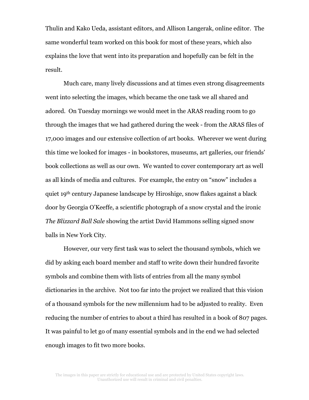Thulin and Kako Ueda, assistant editors, and Allison Langerak, online editor. The same wonderful team worked on this book for most of these years, which also explains the love that went into its preparation and hopefully can be felt in the result.

Much care, many lively discussions and at times even strong disagreements went into selecting the images, which became the one task we all shared and adored. On Tuesday mornings we would meet in the ARAS reading room to go through the images that we had gathered during the week - from the ARAS files of 17,000 images and our extensive collection of art books. Wherever we went during this time we looked for images - in bookstores, museums, art galleries, our friends' book collections as well as our own. We wanted to cover contemporary art as well as all kinds of media and cultures. For example, the entry on "snow" includes a quiet 19th century Japanese landscape by Hiroshige, snow flakes against a black door by Georgia O'Keeffe, a scientific photograph of a snow crystal and the ironic The Blizzard Ball Sale showing the artist David Hammons selling signed snow balls in New York City.

However, our very first task was to select the thousand symbols, which we did by asking each board member and staff to write down their hundred favorite symbols and combine them with lists of entries from all the many symbol dictionaries in the archive. Not too far into the project we realized that this vision of a thousand symbols for the new millennium had to be adjusted to reality. Even reducing the number of entries to about a third has resulted in a book of 807 pages. It was painful to let go of many essential symbols and in the end we had selected enough images to fit two more books.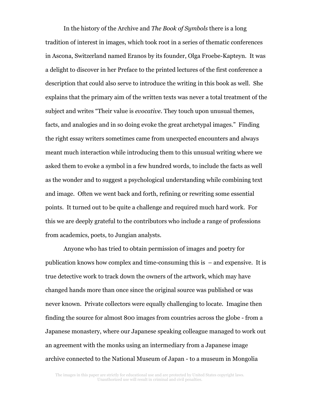In the history of the Archive and The Book of Symbols there is a long tradition of interest in images, which took root in a series of thematic conferences in Ascona, Switzerland named Eranos by its founder, Olga Froebe-Kapteyn. It was a delight to discover in her Preface to the printed lectures of the first conference a description that could also serve to introduce the writing in this book as well. She explains that the primary aim of the written texts was never a total treatment of the subject and writes "Their value is *evocative*. They touch upon unusual themes, facts, and analogies and in so doing evoke the great archetypal images." Finding the right essay writers sometimes came from unexpected encounters and always meant much interaction while introducing them to this unusual writing where we asked them to evoke a symbol in a few hundred words, to include the facts as well as the wonder and to suggest a psychological understanding while combining text and image. Often we went back and forth, refining or rewriting some essential points. It turned out to be quite a challenge and required much hard work. For this we are deeply grateful to the contributors who include a range of professions from academics, poets, to Jungian analysts.

Anyone who has tried to obtain permission of images and poetry for publication knows how complex and time-consuming this is – and expensive. It is true detective work to track down the owners of the artwork, which may have changed hands more than once since the original source was published or was never known. Private collectors were equally challenging to locate. Imagine then finding the source for almost 800 images from countries across the globe - from a Japanese monastery, where our Japanese speaking colleague managed to work out an agreement with the monks using an intermediary from a Japanese image archive connected to the National Museum of Japan - to a museum in Mongolia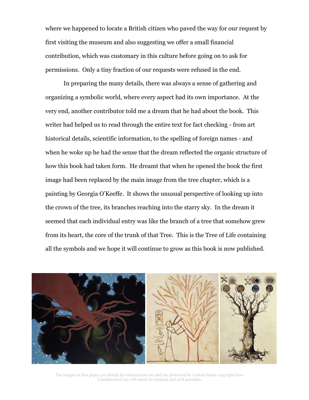where we happened to locate a British citizen who paved the way for our request by first visiting the museum and also suggesting we offer a small financial contribution, which was customary in this culture before going on to ask for permissions. Only a tiny fraction of our requests were refused in the end.

 In preparing the many details, there was always a sense of gathering and organizing a symbolic world, where every aspect had its own importance. At the very end, another contributor told me a dream that he had about the book. This writer had helped us to read through the entire text for fact checking - from art historical details, scientific information, to the spelling of foreign names - and when he woke up he had the sense that the dream reflected the organic structure of how this book had taken form. He dreamt that when he opened the book the first image had been replaced by the main image from the tree chapter, which is a painting by Georgia O'Keeffe. It shows the unusual perspective of looking up into the crown of the tree, its branches reaching into the starry sky. In the dream it seemed that each individual entry was like the branch of a tree that somehow grew from its heart, the core of the trunk of that Tree. This is the Tree of Life containing all the symbols and we hope it will continue to grow as this book is now published.



The images in this paper are strictly for educational use and are protected by United States copyright laws. Unauthorized use will result in criminal and civil penalties.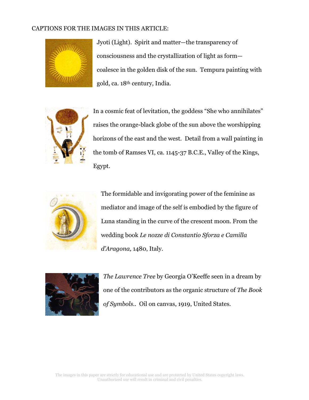## CAPTIONS FOR THE IMAGES IN THIS ARTICLE:



Jyoti (Light). Spirit and matter—the transparency of consciousness and the crystallization of light as form coalesce in the golden disk of the sun. Tempura painting with gold, ca. 18th century, India.



In a cosmic feat of levitation, the goddess "She who annihilates" raises the orange-black globe of the sun above the worshipping horizons of the east and the west. Detail from a wall painting in the tomb of Ramses VI, ca. 1145-37 B.C.E., Valley of the Kings, Egypt.



The formidable and invigorating power of the feminine as mediator and image of the self is embodied by the figure of Luna standing in the curve of the crescent moon. From the wedding book Le nozze di Constantio Sforza e Camilla d'Aragona, 1480, Italy.



The Lawrence Tree by Georgia O'Keeffe seen in a dream by one of the contributors as the organic structure of The Book of Symbols.. Oil on canvas, 1919, United States.